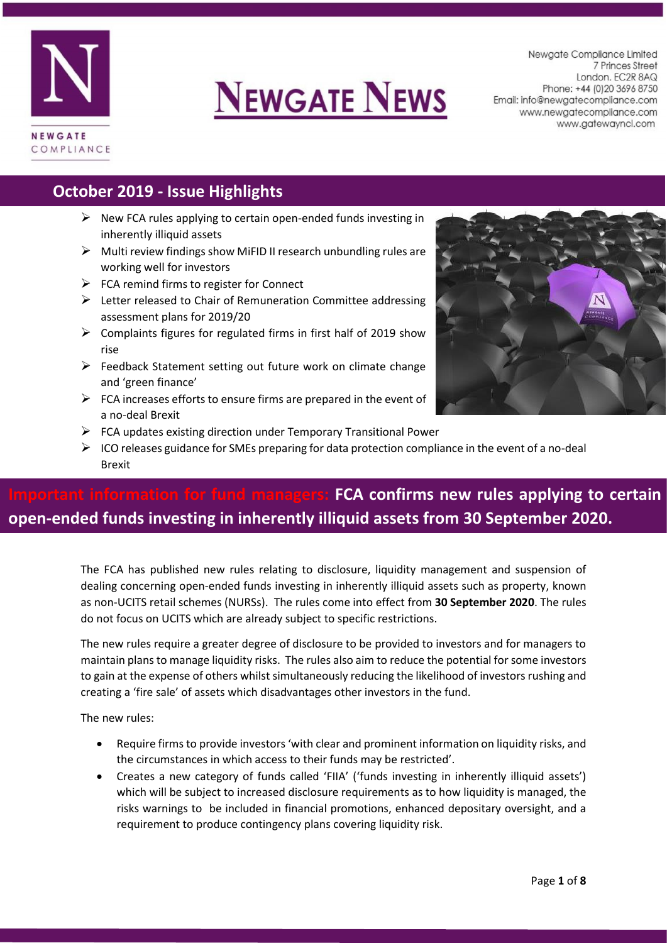

# **NEWGATE NEWS**

Newgate Compliance Limited 7 Princes Street London. EC2R 8AQ Phone: +44 (0) 20 3696 8750 Email: info@newgatecompliance.com www.newgatecompliance.com www.gatewayncl.com

#### **October 2019 - Issue Highlights**

- $\triangleright$  New FCA rules applying to certain open-ended funds investing in inherently illiquid assets
- $\triangleright$  Multi review findings show MiFID II research unbundling rules are working well for investors
- $\triangleright$  FCA remind firms to register for Connect
- $\triangleright$  Letter released to Chair of Remuneration Committee addressing assessment plans for 2019/20
- $\triangleright$  Complaints figures for regulated firms in first half of 2019 show rise
- $\triangleright$  Feedback Statement setting out future work on climate change and 'green finance'
- $\triangleright$  FCA increases efforts to ensure firms are prepared in the event of a no-deal Brexit
- $\triangleright$  FCA updates existing direction under Temporary Transitional Power
- $\triangleright$  ICO releases guidance for SMEs preparing for data protection compliance in the event of a no-deal Brexit

# **FCA confirms new rules applying to certain open-ended funds investing in inherently illiquid assets from 30 September 2020.**

The FCA has published new rules relating to disclosure, liquidity management and suspension of dealing concerning open-ended funds investing in inherently illiquid assets such as property, known as non-UCITS retail schemes (NURSs). The rules come into effect from **30 September 2020**. The rules do not focus on UCITS which are already subject to specific restrictions.

The new rules require a greater degree of disclosure to be provided to investors and for managers to maintain plans to manage liquidity risks. The rules also aim to reduce the potential for some investors to gain at the expense of others whilst simultaneously reducing the likelihood of investors rushing and creating a 'fire sale' of assets which disadvantages other investors in the fund.

The new rules:

- Require firms to provide investors 'with clear and prominent information on liquidity risks, and the circumstances in which access to their funds may be restricted'.
- Creates a new category of funds called 'FIIA' ('funds investing in inherently illiquid assets') which will be subject to increased disclosure requirements as to how liquidity is managed, the risks warnings to be included in financial promotions, enhanced depositary oversight, and a requirement to produce contingency plans covering liquidity risk.

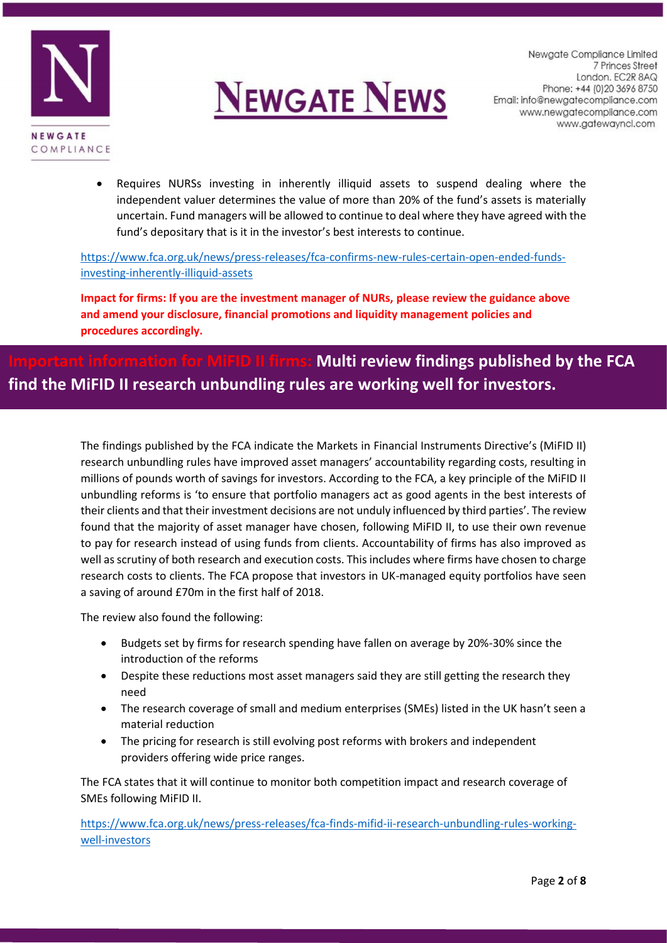



• Requires NURSs investing in inherently illiquid assets to suspend dealing where the independent valuer determines the value of more than 20% of the fund's assets is materially uncertain. Fund managers will be allowed to continue to deal where they have agreed with the fund's depositary that is it in the investor's best interests to continue.

[https://www.fca.org.uk/news/press-releases/fca-confirms-new-rules-certain-open-ended-funds](https://www.fca.org.uk/news/press-releases/fca-confirms-new-rules-certain-open-ended-funds-investing-inherently-illiquid-assets)[investing-inherently-illiquid-assets](https://www.fca.org.uk/news/press-releases/fca-confirms-new-rules-certain-open-ended-funds-investing-inherently-illiquid-assets)

**Impact for firms: If you are the investment manager of NURs, please review the guidance above and amend your disclosure, financial promotions and liquidity management policies and procedures accordingly.** 

## **II firms: Multi review findings published by the FCA find the MiFID II research unbundling rules are working well for investors.**

The findings published by the FCA indicate the Markets in Financial Instruments Directive's (MiFID II) research unbundling rules have improved asset managers' accountability regarding costs, resulting in millions of pounds worth of savings for investors. According to the FCA, a key principle of the MiFID II unbundling reforms is 'to ensure that portfolio managers act as good agents in the best interests of their clients and that their investment decisions are not unduly influenced by third parties'. The review found that the majority of asset manager have chosen, following MiFID II, to use their own revenue to pay for research instead of using funds from clients. Accountability of firms has also improved as well as scrutiny of both research and execution costs. This includes where firms have chosen to charge research costs to clients. The FCA propose that investors in UK-managed equity portfolios have seen a saving of around £70m in the first half of 2018.

The review also found the following:

- Budgets set by firms for research spending have fallen on average by 20%-30% since the introduction of the reforms
- Despite these reductions most asset managers said they are still getting the research they need
- The research coverage of small and medium enterprises (SMEs) listed in the UK hasn't seen a material reduction
- The pricing for research is still evolving post reforms with brokers and independent providers offering wide price ranges.

The FCA states that it will continue to monitor both competition impact and research coverage of SMEs following MiFID II.

[https://www.fca.org.uk/news/press-releases/fca-finds-mifid-ii-research-unbundling-rules-working](https://www.fca.org.uk/news/press-releases/fca-finds-mifid-ii-research-unbundling-rules-working-well-investors)[well-investors](https://www.fca.org.uk/news/press-releases/fca-finds-mifid-ii-research-unbundling-rules-working-well-investors)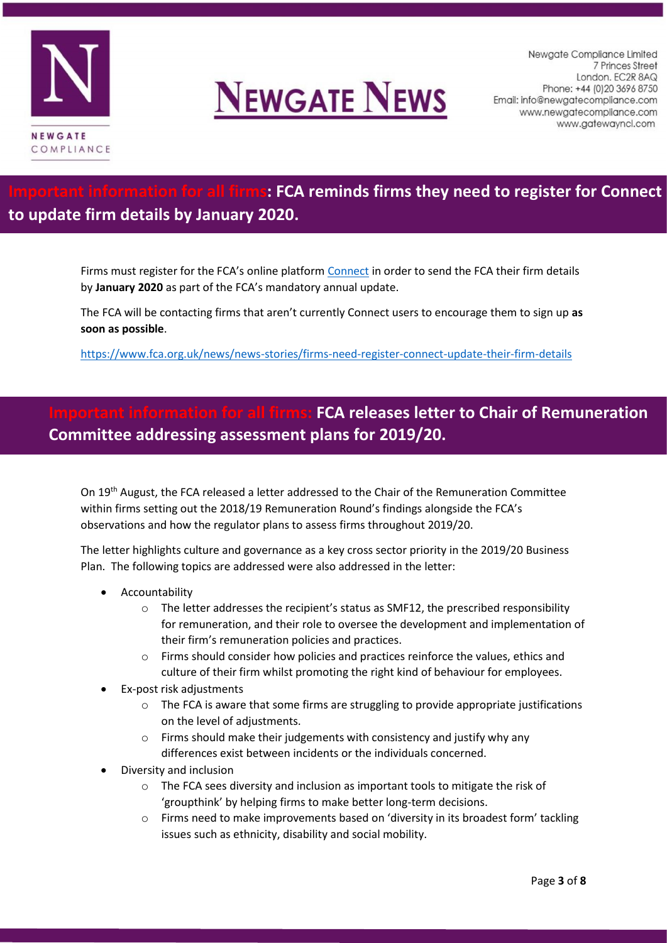



### **IDE All firms: FCA reminds firms they need to register for Connect to update firm details by January 2020.**

Firms must register for the FCA's online platform [Connect](https://connect.fca.org.uk/firms/AuPo_SiteLogin?startURL=%2Ffirms%2Faupo_apapplicationformapage) in order to send the FCA their firm details by **January 2020** as part of the FCA's mandatory annual update.

The FCA will be contacting firms that aren't currently Connect users to encourage them to sign up **as soon as possible**.

<https://www.fca.org.uk/news/news-stories/firms-need-register-connect-update-their-firm-details>

#### **IFCA releases letter to Chair of Remuneration Committee addressing assessment plans for 2019/20.**

On 19<sup>th</sup> August, the FCA released a letter addressed to the Chair of the Remuneration Committee within firms setting out the 2018/19 Remuneration Round's findings alongside the FCA's observations and how the regulator plans to assess firms throughout 2019/20.

The letter highlights culture and governance as a key cross sector priority in the 2019/20 Business Plan. The following topics are addressed were also addressed in the letter:

- **Accountability** 
	- o The letter addresses the recipient's status as SMF12, the prescribed responsibility for remuneration, and their role to oversee the development and implementation of their firm's remuneration policies and practices.
	- $\circ$  Firms should consider how policies and practices reinforce the values, ethics and culture of their firm whilst promoting the right kind of behaviour for employees.
- Ex-post risk adjustments
	- $\circ$  The FCA is aware that some firms are struggling to provide appropriate justifications on the level of adjustments.
	- o Firms should make their judgements with consistency and justify why any differences exist between incidents or the individuals concerned.
- Diversity and inclusion
	- o The FCA sees diversity and inclusion as important tools to mitigate the risk of 'groupthink' by helping firms to make better long-term decisions.
	- $\circ$  Firms need to make improvements based on 'diversity in its broadest form' tackling issues such as ethnicity, disability and social mobility.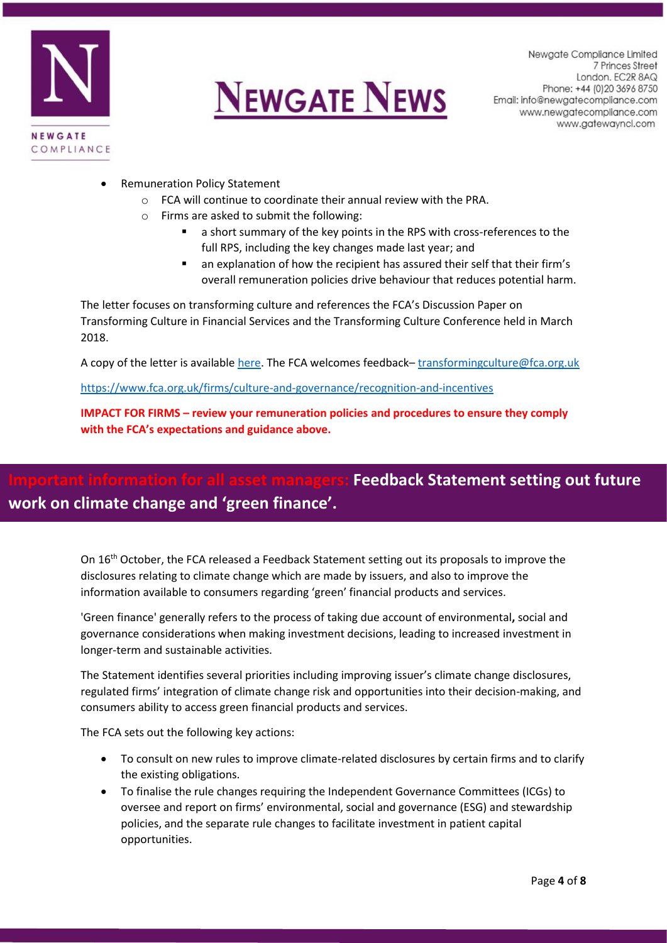



- Remuneration Policy Statement
	- o FCA will continue to coordinate their annual review with the PRA.
	- o Firms are asked to submit the following:
		- a short summary of the key points in the RPS with cross-references to the full RPS, including the key changes made last year; and
		- an explanation of how the recipient has assured their self that their firm's overall remuneration policies drive behaviour that reduces potential harm.

The letter focuses on transforming culture and references the FCA's Discussion Paper on Transforming Culture in Financial Services and the Transforming Culture Conference held in March 2018.

A copy of the letter is available [here.](https://www.fca.org.uk/publication/correspondence/2019-letter-remco-chairs-our-approach.pdf) The FCA welcomes feedback– [transformingculture@fca.org.uk](mailto:transformingculture@fca.org.uk)

<https://www.fca.org.uk/firms/culture-and-governance/recognition-and-incentives>

**IMPACT FOR FIRMS – review your remuneration policies and procedures to ensure they comply with the FCA's expectations and guidance above.** 

# **Feedback Statement setting out future work on climate change and 'green finance'.**

On 16<sup>th</sup> October, the FCA released a Feedback Statement setting out its proposals to improve the disclosures relating to climate change which are made by issuers, and also to improve the information available to consumers regarding 'green' financial products and services.

'Green finance' generally refers to the process of taking due account of environmental**,** social and governance considerations when making investment decisions, leading to increased investment in longer-term and sustainable activities.

The Statement identifies several priorities including improving issuer's climate change disclosures, regulated firms' integration of climate change risk and opportunities into their decision-making, and consumers ability to access green financial products and services.

The FCA sets out the following key actions:

- To consult on new rules to improve climate-related disclosures by certain firms and to clarify the existing obligations.
- To finalise the rule changes requiring the Independent Governance Committees (ICGs) to oversee and report on firms' environmental, social and governance (ESG) and stewardship policies, and the separate rule changes to facilitate investment in patient capital opportunities.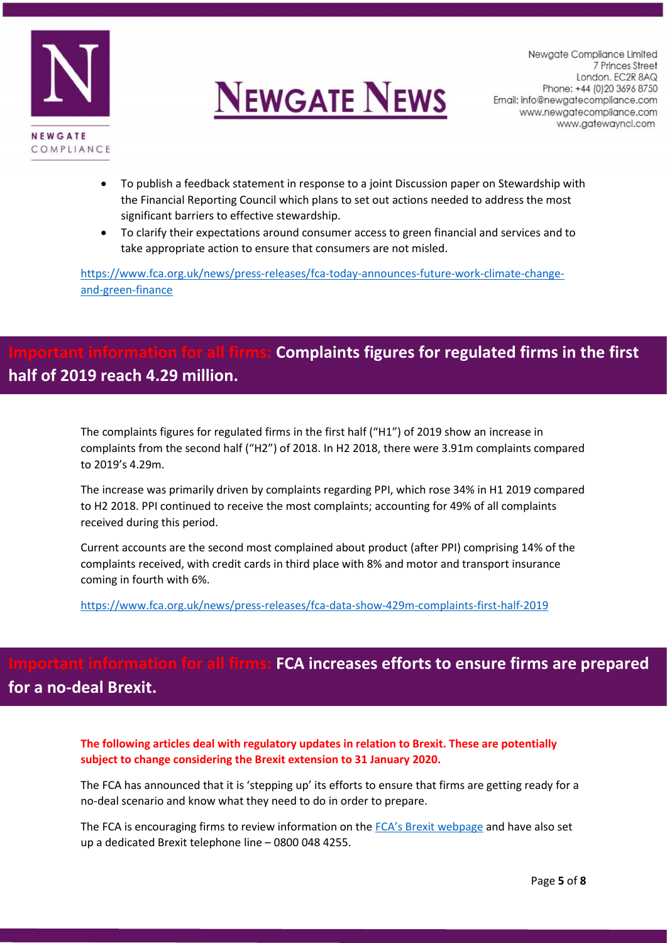



- To publish a feedback statement in response to a joint Discussion paper on Stewardship with the Financial Reporting Council which plans to set out actions needed to address the most significant barriers to effective stewardship.
- To clarify their expectations around consumer access to green financial and services and to take appropriate action to ensure that consumers are not misled.

[https://www.fca.org.uk/news/press-releases/fca-today-announces-future-work-climate-change](https://www.fca.org.uk/news/press-releases/fca-today-announces-future-work-climate-change-and-green-finance)[and-green-finance](https://www.fca.org.uk/news/press-releases/fca-today-announces-future-work-climate-change-and-green-finance)

# **IF for all firms: Complaints figures for regulated firms in the first half of 2019 reach 4.29 million.**

The complaints figures for regulated firms in the first half ("H1") of 2019 show an increase in complaints from the second half ("H2") of 2018. In H2 2018, there were 3.91m complaints compared to 2019's 4.29m.

The increase was primarily driven by complaints regarding PPI, which rose 34% in H1 2019 compared to H2 2018. PPI continued to receive the most complaints; accounting for 49% of all complaints received during this period.

Current accounts are the second most complained about product (after PPI) comprising 14% of the complaints received, with credit cards in third place with 8% and motor and transport insurance coming in fourth with 6%.

<https://www.fca.org.uk/news/press-releases/fca-data-show-429m-complaints-first-half-2019>

## **Ination for all firms: FCA increases efforts to ensure firms are prepared for a no-deal Brexit.**

**The following articles deal with regulatory updates in relation to Brexit. These are potentially subject to change considering the Brexit extension to 31 January 2020.**

The FCA has announced that it is 'stepping up' its efforts to ensure that firms are getting ready for a no-deal scenario and know what they need to do in order to prepare.

The FCA is encouraging firms to review information on the [FCA's Brexit webpage](https://www.fca.org.uk/brexit) and have also set up a dedicated Brexit telephone line – 0800 048 4255.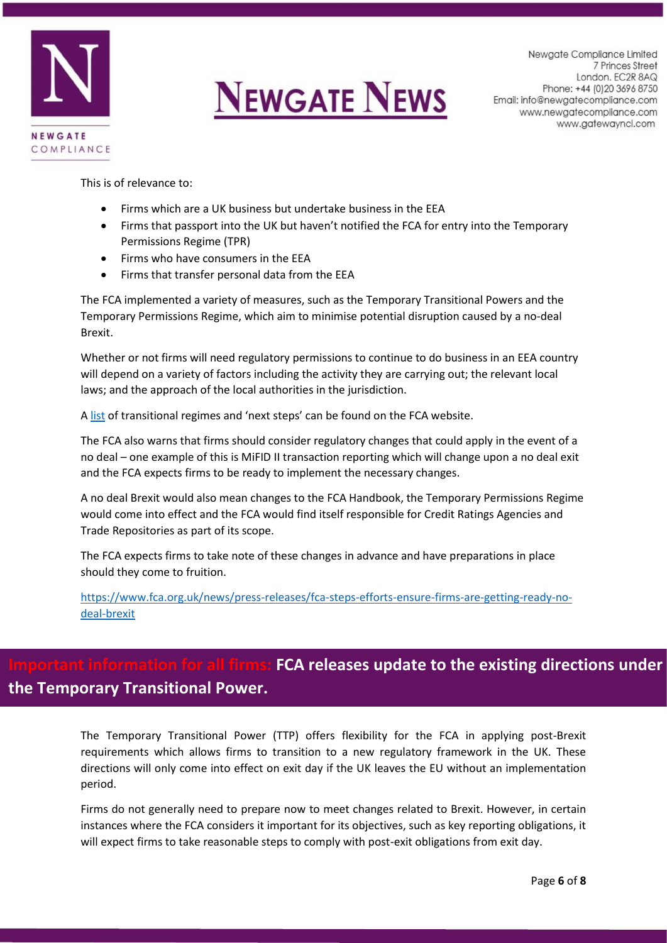



This is of relevance to:

- Firms which are a UK business but undertake business in the EEA
- Firms that passport into the UK but haven't notified the FCA for entry into the Temporary Permissions Regime (TPR)
- Firms who have consumers in the EEA
- Firms that transfer personal data from the EEA

The FCA implemented a variety of measures, such as the Temporary Transitional Powers and the Temporary Permissions Regime, which aim to minimise potential disruption caused by a no-deal Brexit.

Whether or not firms will need regulatory permissions to continue to do business in an EEA country will depend on a variety of factors including the activity they are carrying out; the relevant local laws; and the approach of the local authorities in the jurisdiction.

A [list](https://www.fca.org.uk/publication/information-sheets/eea-member-state-regimes_0.pdf) of transitional regimes and 'next steps' can be found on the FCA website.

The FCA also warns that firms should consider regulatory changes that could apply in the event of a no deal – one example of this is MiFID II transaction reporting which will change upon a no deal exit and the FCA expects firms to be ready to implement the necessary changes.

A no deal Brexit would also mean changes to the FCA Handbook, the Temporary Permissions Regime would come into effect and the FCA would find itself responsible for Credit Ratings Agencies and Trade Repositories as part of its scope.

The FCA expects firms to take note of these changes in advance and have preparations in place should they come to fruition.

[https://www.fca.org.uk/news/press-releases/fca-steps-efforts-ensure-firms-are-getting-ready-no](https://www.fca.org.uk/news/press-releases/fca-steps-efforts-ensure-firms-are-getting-ready-no-deal-brexit)[deal-brexit](https://www.fca.org.uk/news/press-releases/fca-steps-efforts-ensure-firms-are-getting-ready-no-deal-brexit)

### In for all firms: FCA releases update to the existing directions under **the Temporary Transitional Power.**

The Temporary Transitional Power (TTP) offers flexibility for the FCA in applying post-Brexit requirements which allows firms to transition to a new regulatory framework in the UK. These directions will only come into effect on exit day if the UK leaves the EU without an implementation period.

Firms do not generally need to prepare now to meet changes related to Brexit. However, in certain instances where the FCA considers it important for its objectives, such as key reporting obligations, it will expect firms to take reasonable steps to comply with post-exit obligations from exit day.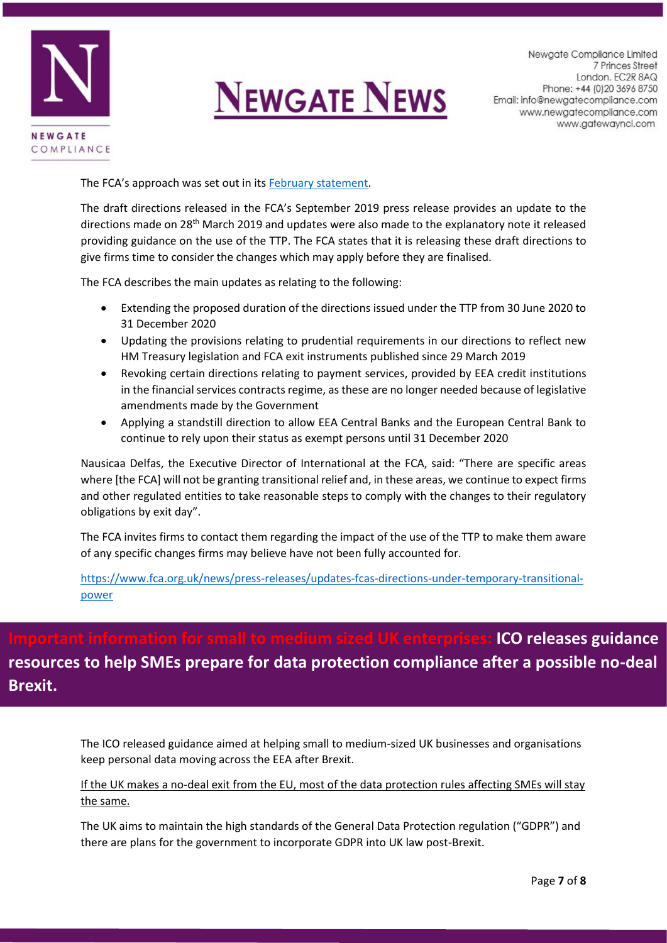

# **NEWGATE NEWS**

Newgate Compliance Limited 7 Princes Street London. EC2R 8AQ Phone: +44 (0) 20 3696 8750 Email: info@newgatecompliance.com www.newgatecompliance.com www.gatewayncl.com

The FCA's approach was set out in its [February statement.](https://www.fca.org.uk/news/statements/brexit-what-we-expect-firms-now)

The draft directions released in the FCA's September 2019 press release provides an update to the directions made on 28th March 2019 and updates were also made to the explanatory note it released providing guidance on the use of the TTP. The FCA states that it is releasing these draft directions to give firms time to consider the changes which may apply before they are finalised.

The FCA describes the main updates as relating to the following:

- Extending the proposed duration of the directions issued under the TTP from 30 June 2020 to 31 December 2020
- Updating the provisions relating to prudential requirements in our directions to reflect new HM Treasury legislation and FCA exit instruments published since 29 March 2019
- Revoking certain directions relating to payment services, provided by EEA credit institutions in the financial services contracts regime, as these are no longer needed because of legislative amendments made by the Government
- Applying a standstill direction to allow EEA Central Banks and the European Central Bank to continue to rely upon their status as exempt persons until 31 December 2020

Nausicaa Delfas, the Executive Director of International at the FCA, said: "There are specific areas where [the FCA] will not be granting transitional relief and, in these areas, we continue to expect firms and other regulated entities to take reasonable steps to comply with the changes to their regulatory obligations by exit day".

The FCA invites firms to contact them regarding the impact of the use of the TTP to make them aware of any specific changes firms may believe have not been fully accounted for.

[https://www.fca.org.uk/news/press-releases/updates-fcas-directions-under-temporary-transitional](https://www.fca.org.uk/news/press-releases/updates-fcas-directions-under-temporary-transitional-power)[power](https://www.fca.org.uk/news/press-releases/updates-fcas-directions-under-temporary-transitional-power)

# **ICO releases guidance resources to help SMEs prepare for data protection compliance after a possible no-deal Brexit.**

The ICO released guidance aimed at helping small to medium-sized UK businesses and organisations keep personal data moving across the EEA after Brexit.

#### If the UK makes a no-deal exit from the EU, most of the data protection rules affecting SMEs will stay the same.

The UK aims to maintain the high standards of the General Data Protection regulation ("GDPR") and there are plans for the government to incorporate GDPR into UK law post-Brexit.